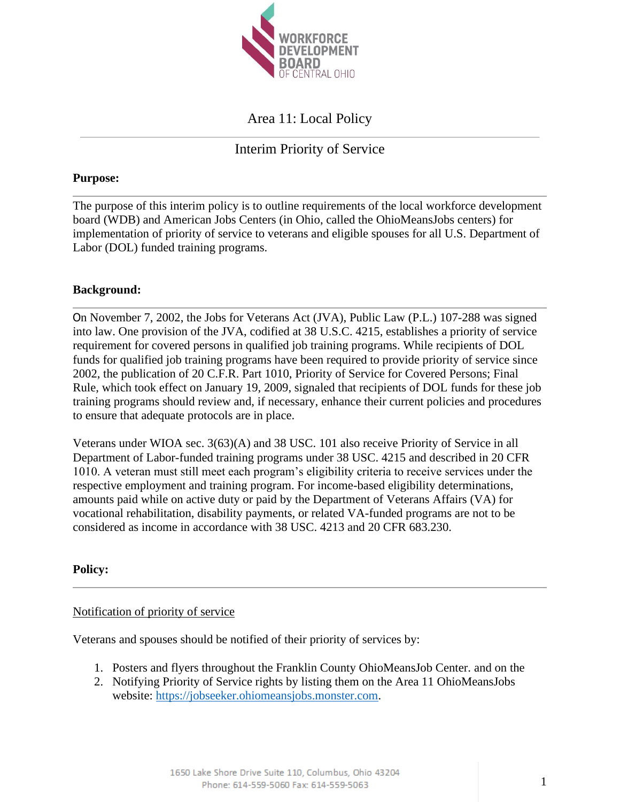

# Area 11: Local Policy

## Interim Priority of Service

#### **Purpose:**

The purpose of this interim policy is to outline requirements of the local workforce development board (WDB) and American Jobs Centers (in Ohio, called the OhioMeansJobs centers) for implementation of priority of service to veterans and eligible spouses for all U.S. Department of Labor (DOL) funded training programs.

#### **Background:**

On November 7, 2002, the Jobs for Veterans Act (JVA), Public Law (P.L.) 107-288 was signed into law. One provision of the JVA, codified at 38 U.S.C. 4215, establishes a priority of service requirement for covered persons in qualified job training programs. While recipients of DOL funds for qualified job training programs have been required to provide priority of service since 2002, the publication of 20 C.F.R. Part 1010, Priority of Service for Covered Persons; Final Rule, which took effect on January 19, 2009, signaled that recipients of DOL funds for these job training programs should review and, if necessary, enhance their current policies and procedures to ensure that adequate protocols are in place.

Veterans under WIOA sec. 3(63)(A) and 38 USC. 101 also receive Priority of Service in all Department of Labor-funded training programs under 38 USC. 4215 and described in 20 CFR 1010. A veteran must still meet each program's eligibility criteria to receive services under the respective employment and training program. For income-based eligibility determinations, amounts paid while on active duty or paid by the Department of Veterans Affairs (VA) for vocational rehabilitation, disability payments, or related VA-funded programs are not to be considered as income in accordance with 38 USC. 4213 and 20 CFR 683.230.

### **Policy:**

#### Notification of priority of service

Veterans and spouses should be notified of their priority of services by:

- 1. Posters and flyers throughout the Franklin County OhioMeansJob Center. and on the
- 2. Notifying Priority of Service rights by listing them on the Area 11 OhioMeansJobs website: [https://jobseeker.ohiomeansjobs.monster.com.](https://jobseeker.ohiomeansjobs.monster.com/)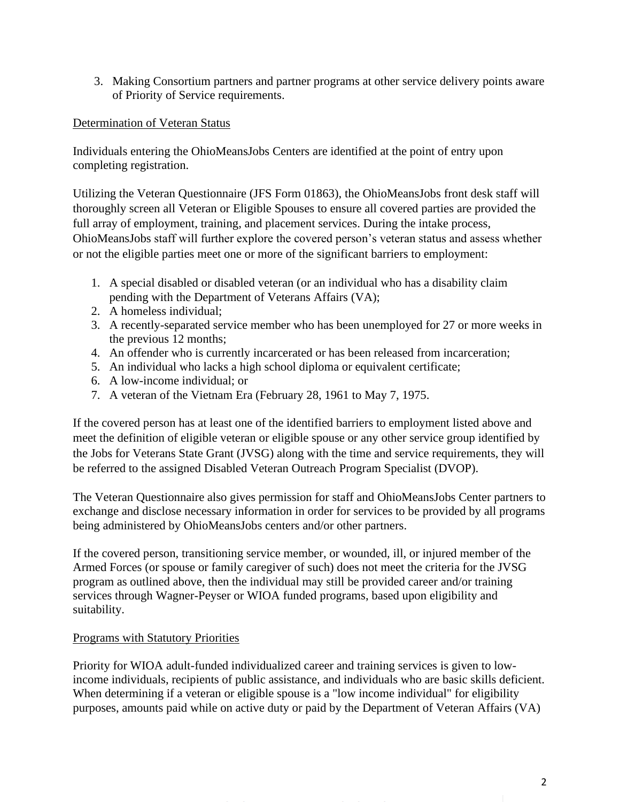3. Making Consortium partners and partner programs at other service delivery points aware of Priority of Service requirements.

## Determination of Veteran Status

Individuals entering the OhioMeansJobs Centers are identified at the point of entry upon completing registration.

Utilizing the Veteran Questionnaire (JFS Form 01863), the OhioMeansJobs front desk staff will thoroughly screen all Veteran or Eligible Spouses to ensure all covered parties are provided the full array of employment, training, and placement services. During the intake process, OhioMeansJobs staff will further explore the covered person's veteran status and assess whether or not the eligible parties meet one or more of the significant barriers to employment:

- 1. A special disabled or disabled veteran (or an individual who has a disability claim pending with the Department of Veterans Affairs (VA);
- 2. A homeless individual;
- 3. A recently-separated service member who has been unemployed for 27 or more weeks in the previous 12 months;
- 4. An offender who is currently incarcerated or has been released from incarceration;
- 5. An individual who lacks a high school diploma or equivalent certificate;
- 6. A low-income individual; or
- 7. A veteran of the Vietnam Era (February 28, 1961 to May 7, 1975.

If the covered person has at least one of the identified barriers to employment listed above and meet the definition of eligible veteran or eligible spouse or any other service group identified by the Jobs for Veterans State Grant (JVSG) along with the time and service requirements, they will be referred to the assigned Disabled Veteran Outreach Program Specialist (DVOP).

The Veteran Questionnaire also gives permission for staff and OhioMeansJobs Center partners to exchange and disclose necessary information in order for services to be provided by all programs being administered by OhioMeansJobs centers and/or other partners.

If the covered person, transitioning service member, or wounded, ill, or injured member of the Armed Forces (or spouse or family caregiver of such) does not meet the criteria for the JVSG program as outlined above, then the individual may still be provided career and/or training services through Wagner-Peyser or WIOA funded programs, based upon eligibility and suitability.

### Programs with Statutory Priorities

Priority for WIOA adult-funded individualized career and training services is given to lowincome individuals, recipients of public assistance, and individuals who are basic skills deficient. When determining if a veteran or eligible spouse is a "low income individual" for eligibility purposes, amounts paid while on active duty or paid by the Department of Veteran Affairs (VA)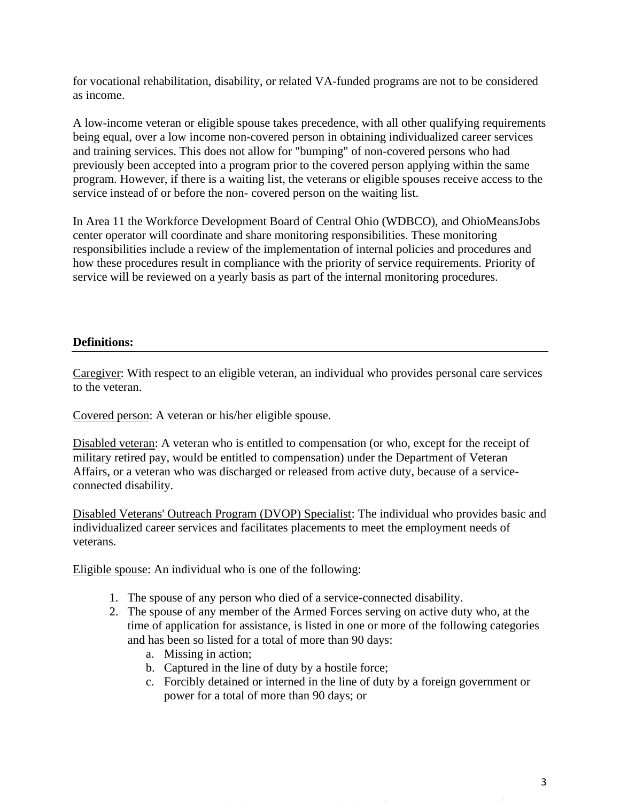for vocational rehabilitation, disability, or related VA-funded programs are not to be considered as income.

A low-income veteran or eligible spouse takes precedence, with all other qualifying requirements being equal, over a low income non-covered person in obtaining individualized career services and training services. This does not allow for "bumping" of non-covered persons who had previously been accepted into a program prior to the covered person applying within the same program. However, if there is a waiting list, the veterans or eligible spouses receive access to the service instead of or before the non- covered person on the waiting list.

In Area 11 the Workforce Development Board of Central Ohio (WDBCO), and OhioMeansJobs center operator will coordinate and share monitoring responsibilities. These monitoring responsibilities include a review of the implementation of internal policies and procedures and how these procedures result in compliance with the priority of service requirements. Priority of service will be reviewed on a yearly basis as part of the internal monitoring procedures.

## **Definitions:**

Caregiver: With respect to an eligible veteran, an individual who provides personal care services to the veteran.

Covered person: A veteran or his/her eligible spouse.

Disabled veteran: A veteran who is entitled to compensation (or who, except for the receipt of military retired pay, would be entitled to compensation) under the Department of Veteran Affairs, or a veteran who was discharged or released from active duty, because of a serviceconnected disability.

Disabled Veterans' Outreach Program (DVOP) Specialist: The individual who provides basic and individualized career services and facilitates placements to meet the employment needs of veterans.

Eligible spouse: An individual who is one of the following:

- 1. The spouse of any person who died of a service-connected disability.
- 2. The spouse of any member of the Armed Forces serving on active duty who, at the time of application for assistance, is listed in one or more of the following categories and has been so listed for a total of more than 90 days:
	- a. Missing in action;
	- b. Captured in the line of duty by a hostile force;
	- c. Forcibly detained or interned in the line of duty by a foreign government or power for a total of more than 90 days; or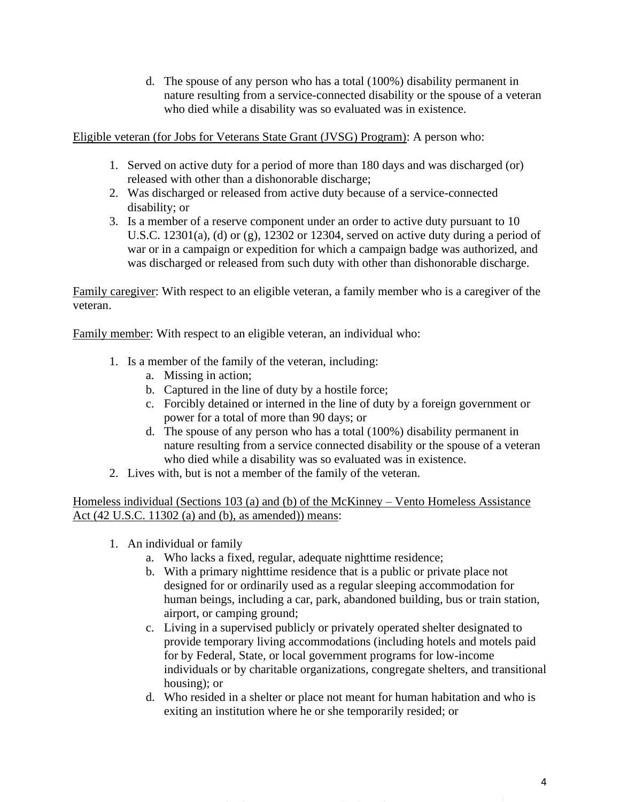d. The spouse of any person who has a total (100%) disability permanent in nature resulting from a service-connected disability or the spouse of a veteran who died while a disability was so evaluated was in existence.

Eligible veteran (for Jobs for Veterans State Grant (JVSG) Program): A person who:

- 1. Served on active duty for a period of more than 180 days and was discharged (or) released with other than a dishonorable discharge;
- 2. Was discharged or released from active duty because of a service-connected disability; or
- 3. Is a member of a reserve component under an order to active duty pursuant to 10 U.S.C. 12301(a), (d) or (g), 12302 or 12304, served on active duty during a period of war or in a campaign or expedition for which a campaign badge was authorized, and was discharged or released from such duty with other than dishonorable discharge.

Family caregiver: With respect to an eligible veteran, a family member who is a caregiver of the veteran.

Family member: With respect to an eligible veteran, an individual who:

- 1. Is a member of the family of the veteran, including:
	- a. Missing in action;
	- b. Captured in the line of duty by a hostile force;
	- c. Forcibly detained or interned in the line of duty by a foreign government or power for a total of more than 90 days; or
	- d. The spouse of any person who has a total (100%) disability permanent in nature resulting from a service connected disability or the spouse of a veteran who died while a disability was so evaluated was in existence.
- 2. Lives with, but is not a member of the family of the veteran.

Homeless individual (Sections 103 (a) and (b) of the McKinney – Vento Homeless Assistance Act (42 U.S.C. 11302 (a) and (b), as amended)) means:

- 1. An individual or family
	- a. Who lacks a fixed, regular, adequate nighttime residence;
	- b. With a primary nighttime residence that is a public or private place not designed for or ordinarily used as a regular sleeping accommodation for human beings, including a car, park, abandoned building, bus or train station, airport, or camping ground;
	- c. Living in a supervised publicly or privately operated shelter designated to provide temporary living accommodations (including hotels and motels paid for by Federal, State, or local government programs for low-income individuals or by charitable organizations, congregate shelters, and transitional housing); or
	- d. Who resided in a shelter or place not meant for human habitation and who is exiting an institution where he or she temporarily resided; or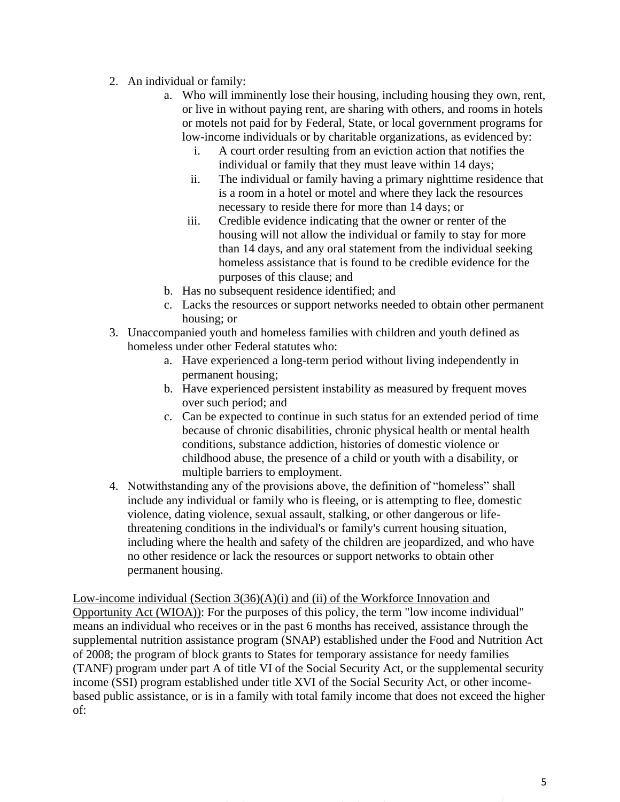- 2. An individual or family:
	- a. Who will imminently lose their housing, including housing they own, rent, or live in without paying rent, are sharing with others, and rooms in hotels or motels not paid for by Federal, State, or local government programs for low-income individuals or by charitable organizations, as evidenced by:
		- i. A court order resulting from an eviction action that notifies the individual or family that they must leave within 14 days;
		- ii. The individual or family having a primary nighttime residence that is a room in a hotel or motel and where they lack the resources necessary to reside there for more than 14 days; or
		- iii. Credible evidence indicating that the owner or renter of the housing will not allow the individual or family to stay for more than 14 days, and any oral statement from the individual seeking homeless assistance that is found to be credible evidence for the purposes of this clause; and
	- b. Has no subsequent residence identified; and
	- c. Lacks the resources or support networks needed to obtain other permanent housing; or
- 3. Unaccompanied youth and homeless families with children and youth defined as homeless under other Federal statutes who:
	- a. Have experienced a long-term period without living independently in permanent housing;
	- b. Have experienced persistent instability as measured by frequent moves over such period; and
	- c. Can be expected to continue in such status for an extended period of time because of chronic disabilities, chronic physical health or mental health conditions, substance addiction, histories of domestic violence or childhood abuse, the presence of a child or youth with a disability, or multiple barriers to employment.
- 4. Notwithstanding any of the provisions above, the definition of "homeless" shall include any individual or family who is fleeing, or is attempting to flee, domestic violence, dating violence, sexual assault, stalking, or other dangerous or lifethreatening conditions in the individual's or family's current housing situation, including where the health and safety of the children are jeopardized, and who have no other residence or lack the resources or support networks to obtain other permanent housing.

Low-income individual (Section 3(36)(A)(i) and (ii) of the Workforce Innovation and Opportunity Act (WIOA)): For the purposes of this policy, the term "low income individual" means an individual who receives or in the past 6 months has received, assistance through the supplemental nutrition assistance program (SNAP) established under the Food and Nutrition Act of 2008; the program of block grants to States for temporary assistance for needy families (TANF) program under part A of title VI of the Social Security Act, or the supplemental security income (SSI) program established under title XVI of the Social Security Act, or other incomebased public assistance, or is in a family with total family income that does not exceed the higher of: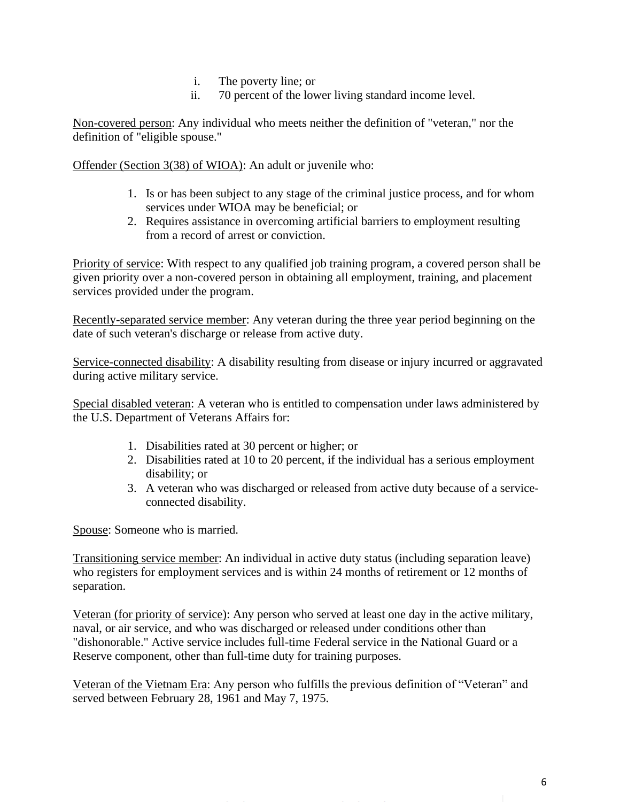- i. The poverty line; or
- ii. 70 percent of the lower living standard income level.

Non-covered person: Any individual who meets neither the definition of "veteran," nor the definition of "eligible spouse."

Offender (Section 3(38) of WIOA): An adult or juvenile who:

- 1. Is or has been subject to any stage of the criminal justice process, and for whom services under WIOA may be beneficial; or
- 2. Requires assistance in overcoming artificial barriers to employment resulting from a record of arrest or conviction.

Priority of service: With respect to any qualified job training program, a covered person shall be given priority over a non-covered person in obtaining all employment, training, and placement services provided under the program.

Recently-separated service member: Any veteran during the three year period beginning on the date of such veteran's discharge or release from active duty.

Service-connected disability: A disability resulting from disease or injury incurred or aggravated during active military service.

Special disabled veteran: A veteran who is entitled to compensation under laws administered by the U.S. Department of Veterans Affairs for:

- 1. Disabilities rated at 30 percent or higher; or
- 2. Disabilities rated at 10 to 20 percent, if the individual has a serious employment disability; or
- 3. A veteran who was discharged or released from active duty because of a serviceconnected disability.

Spouse: Someone who is married.

Transitioning service member: An individual in active duty status (including separation leave) who registers for employment services and is within 24 months of retirement or 12 months of separation.

Veteran (for priority of service): Any person who served at least one day in the active military, naval, or air service, and who was discharged or released under conditions other than "dishonorable." Active service includes full-time Federal service in the National Guard or a Reserve component, other than full-time duty for training purposes.

Veteran of the Vietnam Era: Any person who fulfills the previous definition of "Veteran" and served between February 28, 1961 and May 7, 1975.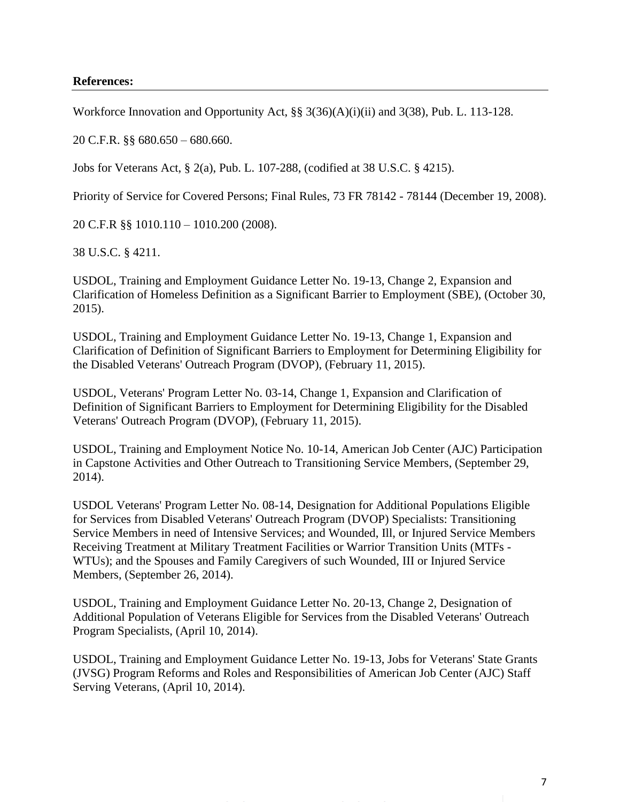#### **References:**

Workforce Innovation and Opportunity Act, §§ 3(36)(A)(i)(ii) and 3(38), Pub. L. 113-128.

20 C.F.R. §§ 680.650 – 680.660.

Jobs for Veterans Act, § 2(a), Pub. L. 107-288, (codified at 38 U.S.C. § 4215).

Priority of Service for Covered Persons; Final Rules, 73 FR 78142 - 78144 (December 19, 2008).

20 C.F.R §§ 1010.110 – 1010.200 (2008).

38 U.S.C. § 4211.

USDOL, Training and Employment Guidance Letter No. 19-13, Change 2, Expansion and Clarification of Homeless Definition as a Significant Barrier to Employment (SBE), (October 30, 2015).

USDOL, Training and Employment Guidance Letter No. 19-13, Change 1, Expansion and Clarification of Definition of Significant Barriers to Employment for Determining Eligibility for the Disabled Veterans' Outreach Program (DVOP), (February 11, 2015).

USDOL, Veterans' Program Letter No. 03-14, Change 1, Expansion and Clarification of Definition of Significant Barriers to Employment for Determining Eligibility for the Disabled Veterans' Outreach Program (DVOP), (February 11, 2015).

USDOL, Training and Employment Notice No. 10-14, American Job Center (AJC) Participation in Capstone Activities and Other Outreach to Transitioning Service Members, (September 29, 2014).

USDOL Veterans' Program Letter No. 08-14, Designation for Additional Populations Eligible for Services from Disabled Veterans' Outreach Program (DVOP) Specialists: Transitioning Service Members in need of Intensive Services; and Wounded, Ill, or Injured Service Members Receiving Treatment at Military Treatment Facilities or Warrior Transition Units (MTFs - WTUs); and the Spouses and Family Caregivers of such Wounded, III or Injured Service Members, (September 26, 2014).

USDOL, Training and Employment Guidance Letter No. 20-13, Change 2, Designation of Additional Population of Veterans Eligible for Services from the Disabled Veterans' Outreach Program Specialists, (April 10, 2014).

USDOL, Training and Employment Guidance Letter No. 19-13, Jobs for Veterans' State Grants (JVSG) Program Reforms and Roles and Responsibilities of American Job Center (AJC) Staff Serving Veterans, (April 10, 2014).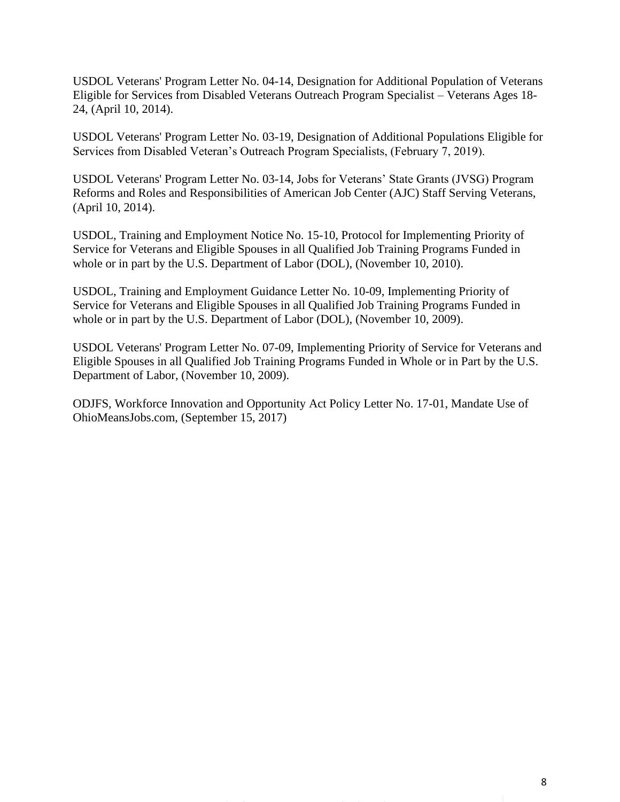USDOL Veterans' Program Letter No. 04-14, Designation for Additional Population of Veterans Eligible for Services from Disabled Veterans Outreach Program Specialist – Veterans Ages 18- 24, (April 10, 2014).

USDOL Veterans' Program Letter No. 03-19, Designation of Additional Populations Eligible for Services from Disabled Veteran's Outreach Program Specialists, (February 7, 2019).

USDOL Veterans' Program Letter No. 03-14, Jobs for Veterans' State Grants (JVSG) Program Reforms and Roles and Responsibilities of American Job Center (AJC) Staff Serving Veterans, (April 10, 2014).

USDOL, Training and Employment Notice No. 15-10, Protocol for Implementing Priority of Service for Veterans and Eligible Spouses in all Qualified Job Training Programs Funded in whole or in part by the U.S. Department of Labor (DOL), (November 10, 2010).

USDOL, Training and Employment Guidance Letter No. 10-09, Implementing Priority of Service for Veterans and Eligible Spouses in all Qualified Job Training Programs Funded in whole or in part by the U.S. Department of Labor (DOL), (November 10, 2009).

USDOL Veterans' Program Letter No. 07-09, Implementing Priority of Service for Veterans and Eligible Spouses in all Qualified Job Training Programs Funded in Whole or in Part by the U.S. Department of Labor, (November 10, 2009).

ODJFS, Workforce Innovation and Opportunity Act Policy Letter No. 17-01, Mandate Use of OhioMeansJobs.com, (September 15, 2017)